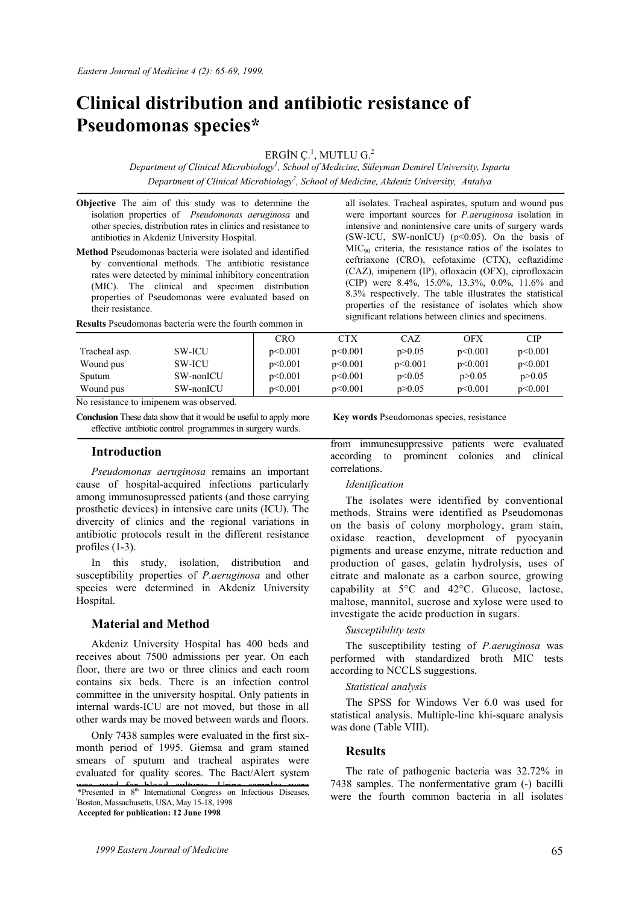# **Clinical distribution and antibiotic resistance of Pseudomonas species\***

ERGİN Ç $^{1}$ , MUTLU G. $^{2}$ 

*Department of Clinical Microbiology1 , School of Medicine, Süleyman Demirel University, Isparta*  Department of Clinical Microbiology<sup>2</sup>, School of Medicine, Akdeniz University, Antalya

- **Objective** The aim of this study was to determine the isolation properties of *Pseudomonas aeruginosa* and other species, distribution rates in clinics and resistance to antibiotics in Akdeniz University Hospital.
- **Method** Pseudomonas bacteria were isolated and identified by conventional methods. The antibiotic resistance rates were detected by minimal inhibitory concentration (MIC). The clinical and specimen distribution properties of Pseudomonas were evaluated based on their resistance.

**Results** Pseudomonas bacteria were the fourth common in

all isolates. Tracheal aspirates, sputum and wound pus were important sources for *P.aeruginosa* isolation in intensive and nonintensive care units of surgery wards (SW-ICU, SW-nonICU) ( $p<0.05$ ). On the basis of MIC90 criteria, the resistance ratios of the isolates to ceftriaxone (CRO), cefotaxime (CTX), ceftazidime (CAZ), imipenem (IP), ofloxacin (OFX), ciprofloxacin (CIP) were 8.4%, 15.0%, 13.3%, 0.0%, 11.6% and 8.3% respectively. The table illustrates the statistical properties of the resistance of isolates which show significant relations between clinics and specimens.

|               |               | CRO     | <b>CTX</b> | CAZ.     | OFX      | CIP      |
|---------------|---------------|---------|------------|----------|----------|----------|
| Tracheal asp. | <b>SW-ICU</b> | p<0.001 | p<0.001    | p > 0.05 | p<0.001  | p<0.001  |
| Wound pus     | <b>SW-ICU</b> | p<0.001 | p<0.001    | p<0.001  | p<0.001  | p<0.001  |
| Sputum        | SW-nonICU     | p<0.001 | p<0.001    | p<0.05   | p > 0.05 | p > 0.05 |
| Wound pus     | SW-nonICU     | p<0.001 | p<0.001    | p > 0.05 | p<0.001  | p<0.001  |

No resistance to imipenem was observed.

**Conclusion** These data show that it would be useful to apply more effective antibiotic control programmes in surgery wards.

### **Introduction**

*Pseudomonas aeruginosa* remains an important cause of hospital-acquired infections particularly among immunosupressed patients (and those carrying prosthetic devices) in intensive care units (ICU). The divercity of clinics and the regional variations in antibiotic protocols result in the different resistance profiles (1-3).

In this study, isolation, distribution and susceptibility properties of *P.aeruginosa* and other species were determined in Akdeniz University Hospital.

# **Material and Method**

Akdeniz University Hospital has 400 beds and receives about 7500 admissions per year. On each floor, there are two or three clinics and each room contains six beds. There is an infection control committee in the university hospital. Only patients in internal wards-ICU are not moved, but those in all other wards may be moved between wards and floors.

Only 7438 samples were evaluated in the first sixmonth period of 1995. Giemsa and gram stained smears of sputum and tracheal aspirates were evaluated for quality scores. The Bact/Alert system

\*Presented in 8<sup>th</sup> International Congress on Infectious Diseases, examined by microscope then cultured. Stool cultures Boston, Massachusetts, USA, May 15-18, 1998 **Accepted for publication: 12 June 1998**

**Key words** Pseudomonas species, resistance

from immunesuppressive patients were evaluated according to prominent colonies and clinical correlations.

#### *Identification*

The isolates were identified by conventional methods. Strains were identified as Pseudomonas on the basis of colony morphology, gram stain, oxidase reaction, development of pyocyanin pigments and urease enzyme, nitrate reduction and production of gases, gelatin hydrolysis, uses of citrate and malonate as a carbon source, growing capability at 5°C and 42°C. Glucose, lactose, maltose, mannitol, sucrose and xylose were used to investigate the acide production in sugars.

#### *Susceptibility tests*

The susceptibility testing of *P.aeruginosa* was performed with standardized broth MIC tests according to NCCLS suggestions.

## *Statistical analysis*

The SPSS for Windows Ver 6.0 was used for statistical analysis. Multiple-line khi-square analysis was done (Table VIII).

#### **Results**

The rate of pathogenic bacteria was 32.72% in 7438 samples. The nonfermentative gram (-) bacilli were the fourth common bacteria in all isolates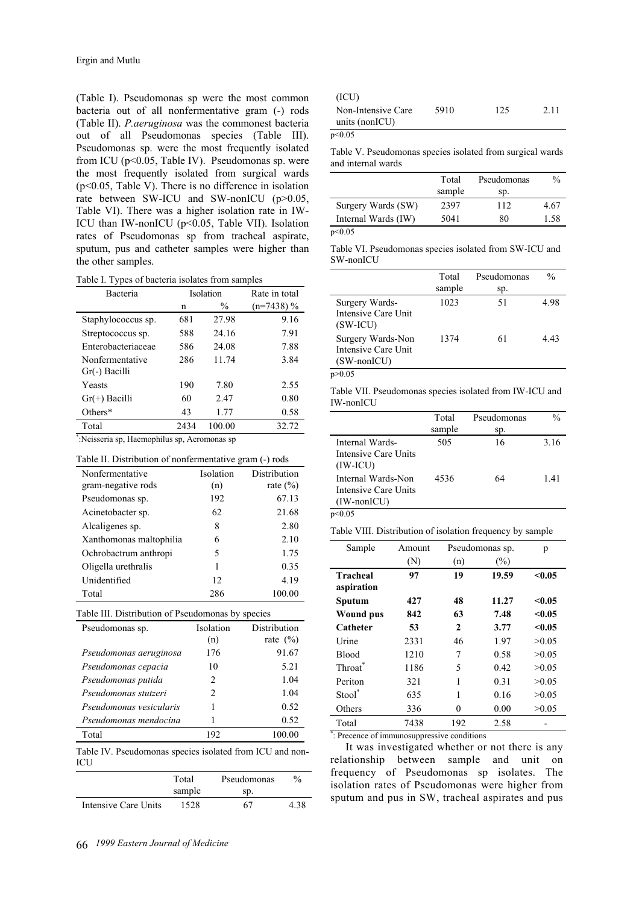(Table I). Pseudomonas sp were the most common bacteria out of all nonfermentative gram (-) rods (Table II). *P.aeruginosa* was the commonest bacteria out of all Pseudomonas species (Table III). Pseudomonas sp. were the most frequently isolated from ICU (p<0.05, Table IV). Pseudomonas sp. were the most frequently isolated from surgical wards (p<0.05, Table V). There is no difference in isolation rate between SW-ICU and SW-nonICU (p>0.05, Table VI). There was a higher isolation rate in IW-ICU than IW-nonICU (p<0.05, Table VII). Isolation rates of Pseudomonas sp from tracheal aspirate, sputum, pus and catheter samples were higher than the other samples.

Table I. Types of bacteria isolates from samples

| Bacteria           | Isolation |               | Rate in total |
|--------------------|-----------|---------------|---------------|
|                    | n         | $\frac{0}{0}$ | $(n=7438)$ %  |
| Staphylococcus sp. | 681       | 27.98         | 9.16          |
| Streptococcus sp.  | 588       | 24.16         | 7.91          |
| Enterobacteriaceae | 586       | 24.08         | 7.88          |
| Nonfermentative    | 286       | 11.74         | 3.84          |
| Gr(-) Bacilli      |           |               |               |
| Yeasts             | 190       | 7.80          | 2.55          |
| $Gr(+)$ Bacilli    | 60        | 2.47          | 0.80          |
| Others $*$         | 43        | 1.77          | 0.58          |
| Total              | 2434      | 100.00        | 32.72         |

\* :Neisseria sp, Haemophilus sp, Aeromonas sp

| Table II. Distribution of nonfermentative gram (-) rods |  |
|---------------------------------------------------------|--|
|---------------------------------------------------------|--|

| Nonfermentative         | Isolation | Distribution |
|-------------------------|-----------|--------------|
| gram-negative rods      | (n)       | rate $(\% )$ |
| Pseudomonas sp.         | 192       | 67.13        |
| Acinetobacter sp.       | 62        | 21.68        |
| Alcaligenes sp.         | 8         | 2.80         |
| Xanthomonas maltophilia | 6         | 2.10         |
| Ochrobactrum anthropi   | 5         | 1.75         |
| Oligella urethralis     | 1         | 0.35         |
| Unidentified            | 12        | 4.19         |
| Total                   | 286       | 100.00       |

Table III. Distribution of Pseudomonas by species

| Pseudomonas sp.         | Isolation                     | Distribution |
|-------------------------|-------------------------------|--------------|
|                         | (n)                           | rate $(\% )$ |
| Pseudomonas aeruginosa  | 176                           | 91.67        |
| Pseudomonas cepacia     | 10                            | 5.21         |
| Pseudomonas putida      | $\mathfrak{D}_{\mathfrak{p}}$ | 1.04         |
| Pseudomonas stutzeri    | $\mathfrak{D}_{\mathfrak{p}}$ | 1.04         |
| Pseudomonas vesicularis |                               | 0.52         |
| Pseudomonas mendocina   |                               | 0.52         |
| Total                   | 192                           | 100.00       |
|                         |                               |              |

Table IV. Pseudomonas species isolated from ICU and non-ICU

|                      | Total  | Pseudomonas | $\frac{0}{0}$ |
|----------------------|--------|-------------|---------------|
|                      | sample | SD.         |               |
| Intensive Care Units | 1528   | 67          | 4.38          |

| (ICU)                                |      |     |      |
|--------------------------------------|------|-----|------|
| Non-Intensive Care<br>units (nonICU) | 5910 | 125 | 2.11 |
|                                      |      |     |      |

p<0.05

Table V. Pseudomonas species isolated from surgical wards and internal wards

|                     | Total  | Pseudomonas | $\frac{0}{0}$ |
|---------------------|--------|-------------|---------------|
|                     | sample | SD.         |               |
| Surgery Wards (SW)  | 2397   | 112         | 4.67          |
| Internal Wards (IW) | 5041   | 80          | 1.58          |
| $\sim 0.05$         |        |             |               |

 $p<0.05$ 

|           | Table VI. Pseudomonas species isolated from SW-ICU and |  |  |  |
|-----------|--------------------------------------------------------|--|--|--|
| SW-nonICU |                                                        |  |  |  |

|                                                                  | Total<br>sample | Pseudomonas<br>sp. | $\frac{0}{0}$ |
|------------------------------------------------------------------|-----------------|--------------------|---------------|
| Surgery Wards-<br>Intensive Care Unit<br>$(SW-ICU)$              | 1023            | 51                 | 4.98          |
| Surgery Wards-Non<br>Intensive Care Unit<br>$(SW\text{-nonICU})$ | 1374            | 61                 | 4 43          |

p>0.05

Table VII. Pseudomonas species isolated from IW-ICU and IW-nonICU

|                                                             | Total<br>sample | Pseudomonas<br>Sp. | $\frac{0}{0}$ |
|-------------------------------------------------------------|-----------------|--------------------|---------------|
| Internal Wards-<br>Intensive Care Units<br>$(IW-ICU)$       | 505             | 16                 | 3.16          |
| Internal Wards-Non<br>Intensive Care Units<br>$(IW-nonICU)$ | 4536            | 64                 | 141           |

p<0.05

Table VIII. Distribution of isolation frequency by sample

| Sample              | Amount |              | Pseudomonas sp. | p      |
|---------------------|--------|--------------|-----------------|--------|
|                     | (N)    | (n)          | $(\%)$          |        |
| Tracheal            | 97     | 19           | 19.59           | < 0.05 |
| aspiration          |        |              |                 |        |
| Sputum              | 427    | 48           | 11.27           | < 0.05 |
| Wound pus           | 842    | 63           | 7.48            | < 0.05 |
| Catheter            | 53     | $\mathbf{2}$ | 3.77            | < 0.05 |
| Urine               | 2331   | 46           | 1.97            | >0.05  |
| <b>Blood</b>        | 1210   | 7            | 0.58            | >0.05  |
| Throat <sup>®</sup> | 1186   | 5            | 0.42            | >0.05  |
| Periton             | 321    | 1            | 0.31            | >0.05  |
| Stool <sup>*</sup>  | 635    | 1            | 0.16            | >0.05  |
| Others              | 336    | 0            | 0.00            | >0.05  |
| Total               | 7438   | 192          | 2.58            |        |

\* : Precence of immunosuppressive conditions

It was investigated whether or not there is any relationship between sample and unit on frequency of Pseudomonas sp isolates. The isolation rates of Pseudomonas were higher from sputum and pus in SW, tracheal aspirates and pus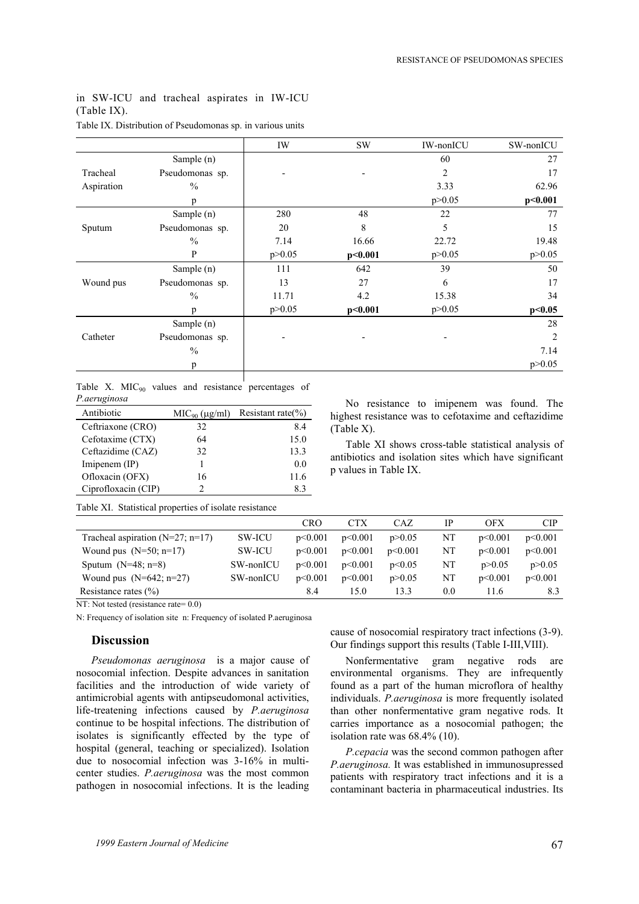# in SW-ICU and tracheal aspirates in IW-ICU (Table IX).

|            |                 | IW       | <b>SW</b> | IW-nonICU      | SW-nonICU      |
|------------|-----------------|----------|-----------|----------------|----------------|
|            | Sample (n)      |          |           | 60             | 27             |
| Tracheal   | Pseudomonas sp. |          |           | $\overline{2}$ | 17             |
| Aspiration | $\frac{0}{0}$   |          |           | 3.33           | 62.96          |
|            | p               |          |           | p > 0.05       | p<0.001        |
|            | Sample (n)      | 280      | 48        | 22             | 77             |
| Sputum     | Pseudomonas sp. | 20       | 8         | 5              | 15             |
|            | $\frac{0}{0}$   | 7.14     | 16.66     | 22.72          | 19.48          |
|            | P               | p > 0.05 | p<0.001   | p > 0.05       | p > 0.05       |
|            | Sample (n)      | 111      | 642       | 39             | 50             |
| Wound pus  | Pseudomonas sp. | 13       | 27        | 6              | 17             |
|            | $\frac{0}{0}$   | 11.71    | 4.2       | 15.38          | 34             |
|            | n               | p > 0.05 | p<0.001   | p > 0.05       | p<0.05         |
|            | Sample (n)      |          |           |                | 28             |
| Catheter   | Pseudomonas sp. |          |           |                | $\overline{c}$ |
|            | $\frac{0}{0}$   |          |           |                | 7.14           |
|            | p               |          |           |                | p > 0.05       |
|            |                 |          |           |                |                |

## Table IX. Distribution of Pseudomonas sp. in various units

Table X.  $MIC<sub>90</sub>$  values and resistance percentages of *P.aeruginosa* 

| Antibiotic          |    | $MIC90 (\mu g/ml)$ Resistant rate(%) |  |  |
|---------------------|----|--------------------------------------|--|--|
| Ceftriaxone (CRO)   | 32 | 8.4                                  |  |  |
| Cefotaxime (CTX)    | 64 | 15.0                                 |  |  |
| Ceftazidime (CAZ)   | 32 | 13.3                                 |  |  |
| Imipenem (IP)       |    | 0.0                                  |  |  |
| Ofloxacin (OFX)     | 16 | 11.6                                 |  |  |
| Ciprofloxacin (CIP) |    | 83                                   |  |  |

No resistance to imipenem was found. The highest resistance was to cefotaxime and ceftazidime (Table X).

Table XI shows cross-table statistical analysis of antibiotics and isolation sites which have significant p values in Table IX.

Table XI. Statistical properties of isolate resistance

|                                      |               | <b>CRO</b> | <b>CTX</b> | CAZ      | IP  | <b>OFX</b> | CIP      |
|--------------------------------------|---------------|------------|------------|----------|-----|------------|----------|
| Tracheal aspiration ( $N=27$ ; n=17) | <b>SW-ICU</b> | p<0.001    | p<0.001    | p > 0.05 | NT  | p<0.001    | p<0.001  |
| Wound pus $(N=50; n=17)$             | <b>SW-ICU</b> | p<0.001    | p<0.001    | p<0.001  | NΤ  | p<0.001    | p<0.001  |
| Sputum $(N=48; n=8)$                 | SW-nonICU     | p<0.001    | p<0.001    | p<0.05   | NΤ  | p > 0.05   | p > 0.05 |
| Wound pus $(N=642; n=27)$            | SW-nonICU     | p<0.001    | p<0.001    | p > 0.05 | NΤ  | p<0.001    | p<0.001  |
| Resistance rates $(\% )$             |               | 8.4        | 15.0       | 13.3     | 0.0 | 11.6       | 8.3      |

NT: Not tested (resistance rate=  $0.0$ )

N: Frequency of isolation site n: Frequency of isolated P.aeruginosa

## **Discussion**

*Pseudomonas aeruginosa* is a major cause of nosocomial infection. Despite advances in sanitation facilities and the introduction of wide variety of antimicrobial agents with antipseudomonal activities, life-treatening infections caused by *P.aeruginosa* continue to be hospital infections. The distribution of isolates is significantly effected by the type of hospital (general, teaching or specialized). Isolation due to nosocomial infection was 3-16% in multicenter studies. *P.aeruginosa* was the most common pathogen in nosocomial infections. It is the leading

cause of nosocomial respiratory tract infections (3-9). Our findings support this results (Table I-III,VIII).

Nonfermentative gram negative rods are environmental organisms. They are infrequently found as a part of the human microflora of healthy individuals. *P.aeruginosa* is more frequently isolated than other nonfermentative gram negative rods. It carries importance as a nosocomial pathogen; the isolation rate was 68.4% (10).

*P.cepacia* was the second common pathogen after *P.aeruginosa.* It was established in immunosupressed patients with respiratory tract infections and it is a contaminant bacteria in pharmaceutical industries. Its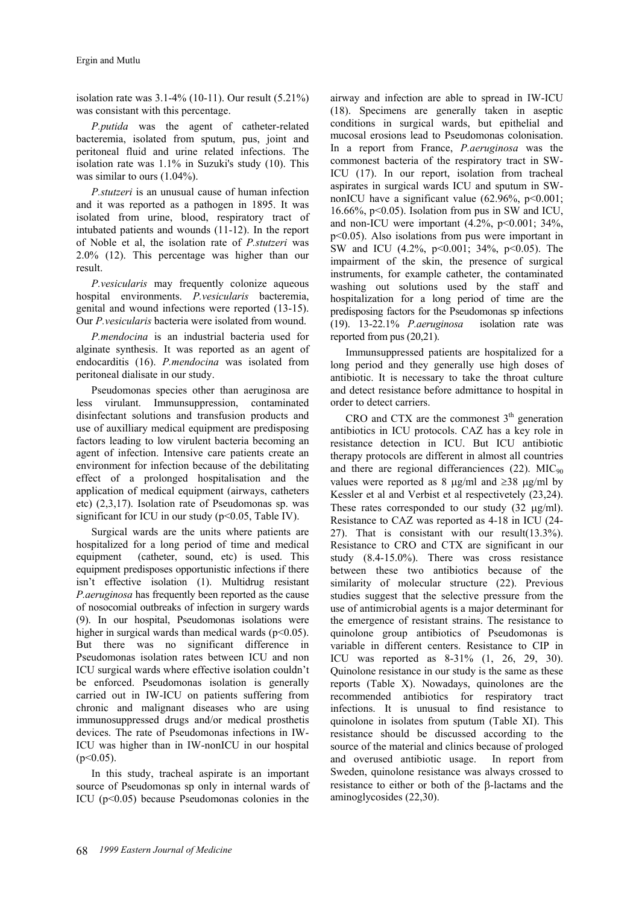isolation rate was 3.1-4% (10-11). Our result (5.21%) was consistant with this percentage.

*P.putida* was the agent of catheter-related bacteremia, isolated from sputum, pus, joint and peritoneal fluid and urine related infections. The isolation rate was 1.1% in Suzuki's study (10). This was similar to ours (1.04%).

*P.stutzeri* is an unusual cause of human infection and it was reported as a pathogen in 1895. It was isolated from urine, blood, respiratory tract of intubated patients and wounds (11-12). In the report of Noble et al, the isolation rate of *P.stutzeri* was 2.0% (12). This percentage was higher than our result.

*P.vesicularis* may frequently colonize aqueous hospital environments. *P.vesicularis* bacteremia, genital and wound infections were reported (13-15). Our *P.vesicularis* bacteria were isolated from wound.

*P.mendocina* is an industrial bacteria used for alginate synthesis. It was reported as an agent of endocarditis (16). *P.mendocina* was isolated from peritoneal dialisate in our study.

Pseudomonas species other than aeruginosa are less virulant. Immunsuppression, contaminated disinfectant solutions and transfusion products and use of auxilliary medical equipment are predisposing factors leading to low virulent bacteria becoming an agent of infection. Intensive care patients create an environment for infection because of the debilitating effect of a prolonged hospitalisation and the application of medical equipment (airways, catheters etc) (2,3,17). Isolation rate of Pseudomonas sp. was significant for ICU in our study ( $p<0.05$ , Table IV).

Surgical wards are the units where patients are hospitalized for a long period of time and medical equipment (catheter, sound, etc) is used. This equipment predisposes opportunistic infections if there isn't effective isolation (1). Multidrug resistant *P.aeruginosa* has frequently been reported as the cause of nosocomial outbreaks of infection in surgery wards (9). In our hospital, Pseudomonas isolations were higher in surgical wards than medical wards ( $p<0.05$ ). But there was no significant difference in Pseudomonas isolation rates between ICU and non ICU surgical wards where effective isolation couldn't be enforced. Pseudomonas isolation is generally carried out in IW-ICU on patients suffering from chronic and malignant diseases who are using immunosuppressed drugs and/or medical prosthetis devices. The rate of Pseudomonas infections in IW-ICU was higher than in IW-nonICU in our hospital  $(p<0.05)$ .

In this study, tracheal aspirate is an important source of Pseudomonas sp only in internal wards of ICU (p<0.05) because Pseudomonas colonies in the

airway and infection are able to spread in IW-ICU (18). Specimens are generally taken in aseptic conditions in surgical wards, but epithelial and mucosal erosions lead to Pseudomonas colonisation. In a report from France, *P.aeruginosa* was the commonest bacteria of the respiratory tract in SW-ICU (17). In our report, isolation from tracheal aspirates in surgical wards ICU and sputum in SWnonICU have a significant value  $(62.96\% \text{, } p<0.001)$ ; 16.66%,  $p<0.05$ ). Isolation from pus in SW and ICU, and non-ICU were important  $(4.2\%, p<0.001; 34\%,$ p<0.05). Also isolations from pus were important in SW and ICU (4.2%, p<0.001; 34%, p<0.05). The impairment of the skin, the presence of surgical instruments, for example catheter, the contaminated washing out solutions used by the staff and hospitalization for a long period of time are the predisposing factors for the Pseudomonas sp infections (19). 13-22.1% *P.aeruginosa* isolation rate was reported from pus (20,21).

Immunsuppressed patients are hospitalized for a long period and they generally use high doses of antibiotic. It is necessary to take the throat culture and detect resistance before admittance to hospital in order to detect carriers.

CRO and CTX are the commonest  $3<sup>th</sup>$  generation antibiotics in ICU protocols. CAZ has a key role in resistance detection in ICU. But ICU antibiotic therapy protocols are different in almost all countries and there are regional differanciences  $(22)$ . MIC<sub>90</sub> values were reported as 8  $\mu$ g/ml and ≥38  $\mu$ g/ml by Kessler et al and Verbist et al respectivetely (23,24). These rates corresponded to our study  $(32 \mu g/ml)$ . Resistance to CAZ was reported as 4-18 in ICU (24- 27). That is consistant with our result(13.3%). Resistance to CRO and CTX are significant in our study (8.4-15.0%). There was cross resistance between these two antibiotics because of the similarity of molecular structure (22). Previous studies suggest that the selective pressure from the use of antimicrobial agents is a major determinant for the emergence of resistant strains. The resistance to quinolone group antibiotics of Pseudomonas is variable in different centers. Resistance to CIP in ICU was reported as 8-31% (1, 26, 29, 30). Quinolone resistance in our study is the same as these reports (Table X). Nowadays, quinolones are the recommended antibiotics for respiratory tract infections. It is unusual to find resistance to quinolone in isolates from sputum (Table XI). This resistance should be discussed according to the source of the material and clinics because of prologed and overused antibiotic usage. In report from Sweden, quinolone resistance was always crossed to resistance to either or both of the β-lactams and the aminoglycosides (22,30).